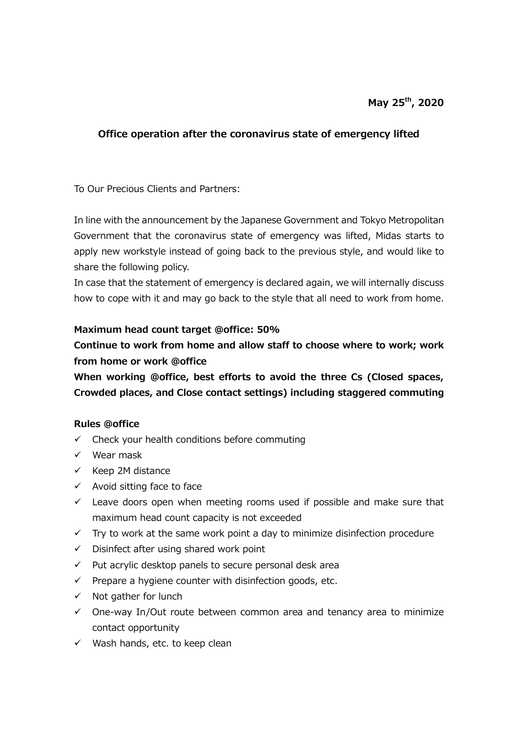## **Office operation after the coronavirus state of emergency lifted**

To Our Precious Clients and Partners:

In line with the announcement by the Japanese Government and Tokyo Metropolitan Government that the coronavirus state of emergency was lifted, Midas starts to apply new workstyle instead of going back to the previous style, and would like to share the following policy.

In case that the statement of emergency is declared again, we will internally discuss how to cope with it and may go back to the style that all need to work from home.

## **Maximum head count target @office: 50%**

**Continue to work from home and allow staff to choose where to work; work from home or work @office**

**When working @office, best efforts to avoid the three Cs (Closed spaces, Crowded places, and Close contact settings) including staggered commuting**

## **Rules @office**

- $\checkmark$  Check your health conditions before commuting
- ✓ Wear mask
- $\checkmark$  Keep 2M distance
- $\checkmark$  Avoid sitting face to face
- $\checkmark$  Leave doors open when meeting rooms used if possible and make sure that maximum head count capacity is not exceeded
- $\checkmark$  Try to work at the same work point a day to minimize disinfection procedure
- $\checkmark$  Disinfect after using shared work point
- $\checkmark$  Put acrylic desktop panels to secure personal desk area
- $\checkmark$  Prepare a hygiene counter with disinfection goods, etc.
- $\checkmark$  Not gather for lunch
- $\checkmark$  One-way In/Out route between common area and tenancy area to minimize contact opportunity
- $\checkmark$  Wash hands, etc. to keep clean